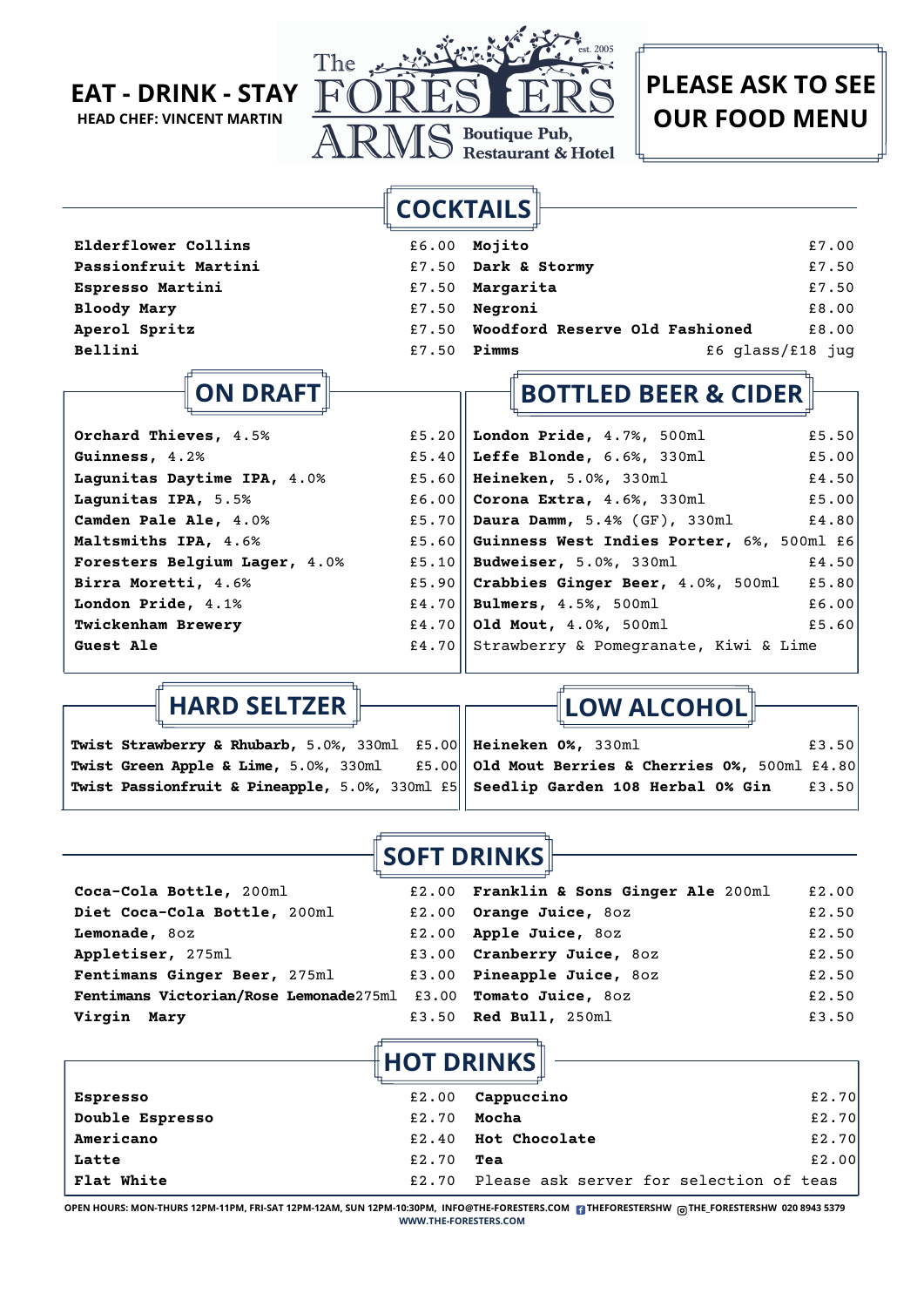

**COCKTAILS**

| <b>Elderflower Collins</b>  |       | £6.00 Mojito                         | £7.00            |
|-----------------------------|-------|--------------------------------------|------------------|
| <b>Passionfruit Martini</b> |       | £7.50 Dark & Stormy                  | £7.50            |
| <b>Espresso Martini</b>     |       | £7.50 Margarita                      | £7.50            |
| <b>Bloody Mary</b>          |       | $£7.50$ Negroni                      | £8.00            |
| Aperol Spritz               |       | £7.50 Woodford Reserve Old Fashioned | £8.00            |
| Bellini                     | £7.50 | Pimms                                | £6 glass/£18 jug |

## **ON DRAFT**

| Orchard Thieves, 4.5%         | £5.20 London Pride, $4.7\%$ , 500ml<br>£5.50         |
|-------------------------------|------------------------------------------------------|
| Guinness, 4.2%                | £5.40 $\ $ Leffe Blonde, 6.6%, 330ml<br>£5.00        |
| Lagunitas Daytime IPA, 4.0%   | £5.60   Heineken, 5.0%, 330ml<br>£4.50               |
| Lagunitas IPA, 5.5%           | £5.00<br>£6.00 <b>Corona Extra, 4.6%, 330ml</b>      |
| Camden Pale Ale, 4.0%         | £5.70 $\ $ Daura Damm, 5.4% (GF), 330ml<br>£4.80     |
| Maltsmiths IPA, 4.6%          | £5.60 Guinness West Indies Porter, 6%, 500ml £6      |
| Foresters Belgium Lager, 4.0% | £5.10    Budweiser, 5.0%, 330ml<br>£4.50             |
| Birra Moretti, 4.6%           | £5.90 Crabbies Ginger Beer, $4.0\%$ , 500ml<br>£5.80 |
| London Pride, 4.1%            | £4.70    Bulmers, $4.5%$ , $500ml$<br>£6.00          |
| <b>Twickenham Brewery</b>     | £4.70   Old Mout, $4.0\%$ , 500ml<br>£5.60           |
| <b>Guest Ale</b>              | £4.70 Strawberry & Pomegranate, Kiwi & Lime          |
|                               |                                                      |

### **HARD SELTZER**

**Twist Strawberry & Rhubarb,** 5.0%, 330ml £5.00 **Twist Green Apple & Lime,** 5.0%, 330ml £5.00 **Twist Passionfruit & Pineapple,** 5.0%, 330ml £5 **LOW ALCOHOL**

**BOTTLED BEER & CIDER**

**Heineken 0%,** 330ml £3.50 **Old Mout Berries & Cherries 0%,** 500ml £4.80 **Seedlip Garden 108 Herbal 0% Gin** £3.50

### **SOFT DRINKS**

| Coca-Cola Bottle, 200ml                                        | £2.00 Franklin & Sons Ginger Ale 200ml | £2.00 |
|----------------------------------------------------------------|----------------------------------------|-------|
| Diet Coca-Cola Bottle, 200ml                                   | £2.00 Orange Juice, 80z                | £2.50 |
| Lemonade, 80z                                                  | £2.00 Apple Juice, 80z                 | £2.50 |
| Appletiser, 275ml                                              | £3.00 Cranberry Juice, 80Z             | £2.50 |
| Fentimans Ginger Beer, 275ml                                   | £3.00 Pineapple Juice, 80Z             | £2.50 |
| Fentimans Victorian/Rose Lemonade275ml £3.00 Tomato Juice, 80z |                                        | £2.50 |
| Virgin Mary                                                    | £3.50 Red Bull, 250ml                  | £3.50 |

 $\llbracket$ HOT DRINKS $\rrbracket$ 

| <b>Espresso</b>   | £2.00 | Cappuccino                              | £2.70 |
|-------------------|-------|-----------------------------------------|-------|
| Double Espresso   | £2.70 | Mocha                                   | £2.70 |
| <b>Americano</b>  | £2.40 | <b>Hot Chocolate</b>                    | £2.70 |
| Latte             | £2.70 | Tea                                     | £2.00 |
| <b>Flat White</b> | £2.70 | Please ask server for selection of teas |       |

**OPEN HOURS: MON-THURS 12PM-11PM, FRI-SAT 12PM-12AM, SUN 12PM-10:30PM, INFO@THE-FORESTERS.COM THEFORESTERSHW THE\_FORESTERSHW 020 8943 5379 WWW.THE-FORESTERS.COM**